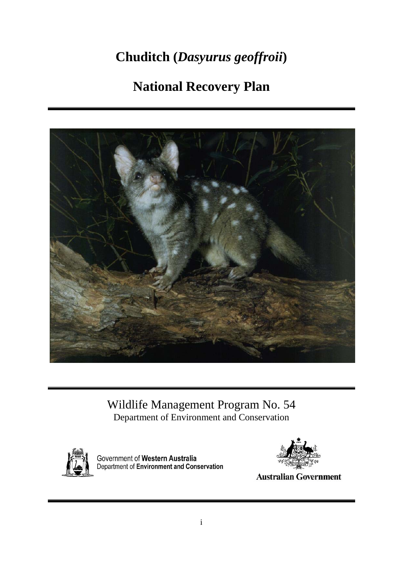# **Chuditch (***Dasyurus geoffroii***)**

# **National Recovery Plan**



Wildlife Management Program No. 54 Department of Environment and Conservation



Government of Western Australia<br>Department of Environment and Conservation



**Australian Government**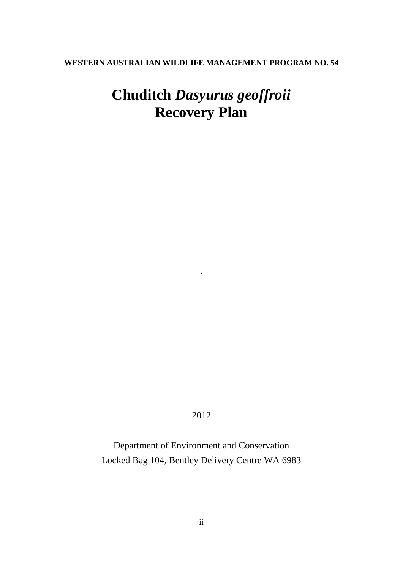## **WESTERN AUSTRALIAN WILDLIFE MANAGEMENT PROGRAM NO. 54**

# **Chuditch** *Dasyurus geoffroii* **Recovery Plan**

2012

 $\epsilon$ 

Department of Environment and Conservation Locked Bag 104, Bentley Delivery Centre WA 6983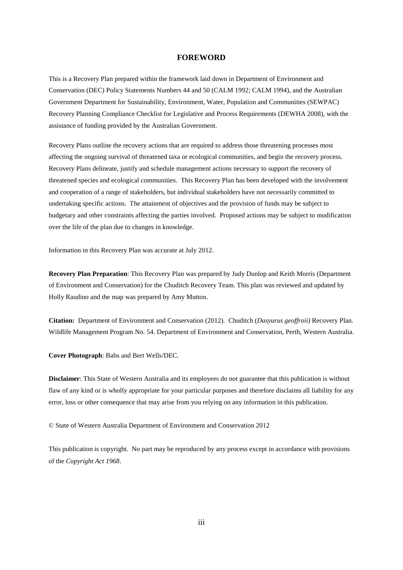#### **FOREWORD**

<span id="page-2-0"></span>This is a Recovery Plan prepared within the framework laid down in Department of Environment and Conservation (DEC) Policy Statements Numbers 44 and 50 (CALM 1992; CALM 1994), and the Australian Government Department for Sustainability, Environment, Water, Population and Communities (SEWPAC) Recovery Planning Compliance Checklist for Legislative and Process Requirements (DEWHA 2008), with the assistance of funding provided by the Australian Government.

Recovery Plans outline the recovery actions that are required to address those threatening processes most affecting the ongoing survival of threatened taxa or ecological communities, and begin the recovery process. Recovery Plans delineate, justify and schedule management actions necessary to support the recovery of threatened species and ecological communities. This Recovery Plan has been developed with the involvement and cooperation of a range of stakeholders, but individual stakeholders have not necessarily committed to undertaking specific actions. The attainment of objectives and the provision of funds may be subject to budgetary and other constraints affecting the parties involved. Proposed actions may be subject to modification over the life of the plan due to changes in knowledge.

Information in this Recovery Plan was accurate at July 2012.

**Recovery Plan Preparation**: This Recovery Plan was prepared by Judy Dunlop and Keith Morris (Department of Environment and Conservation) for the Chuditch Recovery Team. This plan was reviewed and updated by Holly Raudino and the map was prepared by Amy Mutton.

**Citation:** Department of Environment and Conservation (2012). Chuditch (*Dasyurus geoffroii)* Recovery Plan. Wildlife Management Program No. 54. Department of Environment and Conservation, Perth, Western Australia.

**Cover Photograph**: Babs and Bert Wells/DEC.

**Disclaimer**: This State of Western Australia and its employees do not guarantee that this publication is without flaw of any kind or is wholly appropriate for your particular purposes and therefore disclaims all liability for any error, loss or other consequence that may arise from you relying on any information in this publication.

© State of Western Australia Department of Environment and Conservation 2012

This publication is copyright. No part may be reproduced by any process except in accordance with provisions of the *Copyright Act 1968*.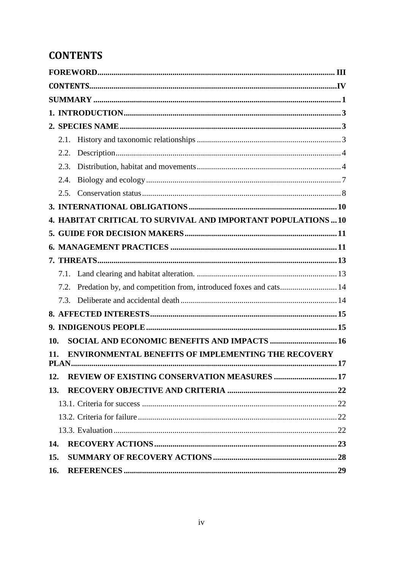# <span id="page-3-0"></span>**CONTENTS**

|     | 2.1. |                                                                      |  |
|-----|------|----------------------------------------------------------------------|--|
|     | 2.2. |                                                                      |  |
|     | 2.3. |                                                                      |  |
|     | 2.4. |                                                                      |  |
|     | 2.5. |                                                                      |  |
|     |      |                                                                      |  |
|     |      | <b>4. HABITAT CRITICAL TO SURVIVAL AND IMPORTANT POPULATIONS  10</b> |  |
|     |      |                                                                      |  |
|     |      |                                                                      |  |
|     |      |                                                                      |  |
|     |      |                                                                      |  |
|     | 7.2. | Predation by, and competition from, introduced foxes and cats 14     |  |
|     | 7.3  |                                                                      |  |
|     |      |                                                                      |  |
|     |      |                                                                      |  |
| 10. |      |                                                                      |  |
| 11. |      | <b>ENVIRONMENTAL BENEFITS OF IMPLEMENTING THE RECOVERY</b>           |  |
|     |      |                                                                      |  |
| 12. |      | <b>REVIEW OF EXISTING CONSERVATION MEASURES  17</b>                  |  |
| 13. |      |                                                                      |  |
|     |      |                                                                      |  |
|     |      |                                                                      |  |
|     |      |                                                                      |  |
| 14. |      |                                                                      |  |
| 15. |      |                                                                      |  |
| 16. |      |                                                                      |  |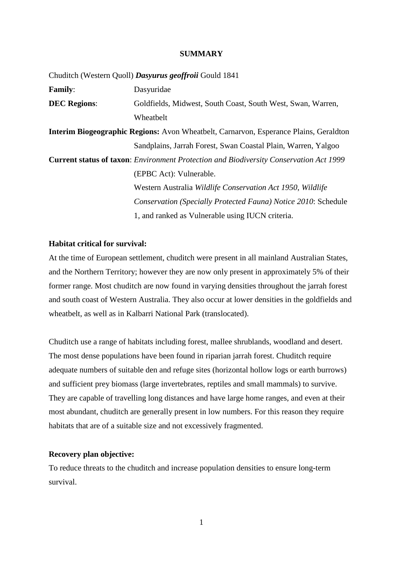#### **SUMMARY**

<span id="page-4-0"></span>Chuditch (Western Quoll) *Dasyurus geoffroii* Gould 1841 **Family**: Dasyuridae **DEC Regions**: Goldfields, Midwest, South Coast, South West, Swan, Warren, **Wheathelt Interim Biogeographic Regions:** Avon Wheatbelt, Carnarvon, Esperance Plains, Geraldton Sandplains, Jarrah Forest, Swan Coastal Plain, Warren, Yalgoo **Current status of taxon**: *Environment Protection and Biodiversity Conservation Act 1999* (EPBC Act): Vulnerable. Western Australia *Wildlife Conservation Act 1950*, *Wildlife Conservation (Specially Protected Fauna) Notice 2010*: Schedule 1, and ranked as Vulnerable using IUCN criteria.

### **Habitat critical for survival:**

At the time of European settlement, chuditch were present in all mainland Australian States, and the Northern Territory; however they are now only present in approximately 5% of their former range. Most chuditch are now found in varying densities throughout the jarrah forest and south coast of Western Australia. They also occur at lower densities in the goldfields and wheatbelt, as well as in Kalbarri National Park (translocated).

Chuditch use a range of habitats including forest, mallee shrublands, woodland and desert. The most dense populations have been found in riparian jarrah forest. Chuditch require adequate numbers of suitable den and refuge sites (horizontal hollow logs or earth burrows) and sufficient prey biomass (large invertebrates, reptiles and small mammals) to survive. They are capable of travelling long distances and have large home ranges, and even at their most abundant, chuditch are generally present in low numbers. For this reason they require habitats that are of a suitable size and not excessively fragmented.

#### **Recovery plan objective:**

To reduce threats to the chuditch and increase population densities to ensure long-term survival.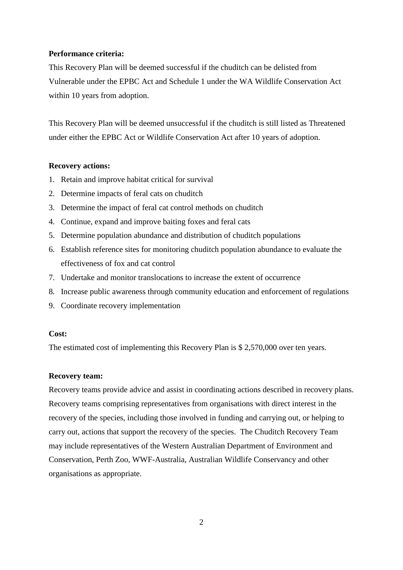## **Performance criteria:**

This Recovery Plan will be deemed successful if the chuditch can be delisted from Vulnerable under the EPBC Act and Schedule 1 under the WA Wildlife Conservation Act within 10 years from adoption.

This Recovery Plan will be deemed unsuccessful if the chuditch is still listed as Threatened under either the EPBC Act or Wildlife Conservation Act after 10 years of adoption.

#### **Recovery actions:**

- 1. Retain and improve habitat critical for survival
- 2. Determine impacts of feral cats on chuditch
- 3. Determine the impact of feral cat control methods on chuditch
- 4. Continue, expand and improve baiting foxes and feral cats
- 5. Determine population abundance and distribution of chuditch populations
- 6. Establish reference sites for monitoring chuditch population abundance to evaluate the effectiveness of fox and cat control
- 7. Undertake and monitor translocations to increase the extent of occurrence
- 8. Increase public awareness through community education and enforcement of regulations
- 9. Coordinate recovery implementation

#### **Cost:**

The estimated cost of implementing this Recovery Plan is \$ 2,570,000 over ten years.

#### **Recovery team:**

Recovery teams provide advice and assist in coordinating actions described in recovery plans. Recovery teams comprising representatives from organisations with direct interest in the recovery of the species, including those involved in funding and carrying out, or helping to carry out, actions that support the recovery of the species. The Chuditch Recovery Team may include representatives of the Western Australian Department of Environment and Conservation, Perth Zoo, WWF-Australia, Australian Wildlife Conservancy and other organisations as appropriate.

2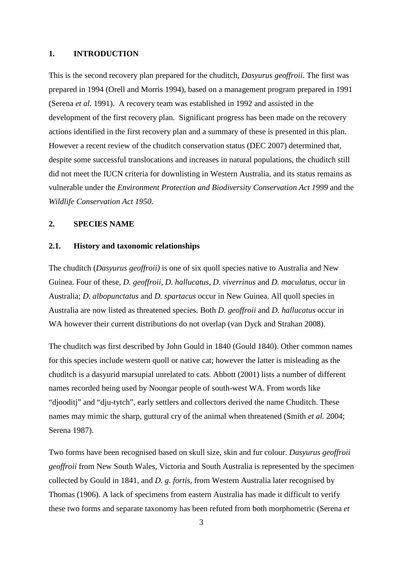## <span id="page-6-0"></span>**1. INTRODUCTION**

This is the second recovery plan prepared for the chuditch, *Dasyurus geoffroii*. The first was prepared in 1994 (Orell and Morris 1994), based on a management program prepared in 1991 (Serena *et al.* 1991). A recovery team was established in 1992 and assisted in the development of the first recovery plan. Significant progress has been made on the recovery actions identified in the first recovery plan and a summary of these is presented in this plan. However a recent review of the chuditch conservation status (DEC 2007) determined that, despite some successful translocations and increases in natural populations, the chuditch still did not meet the IUCN criteria for downlisting in Western Australia, and its status remains as vulnerable under the *Environment Protection and Biodiversity Conservation Act 1999* and the *Wildlife Conservation Act 1950*.

## <span id="page-6-1"></span>**2. SPECIES NAME**

#### <span id="page-6-2"></span>**2.1. History and taxonomic relationships**

The chuditch (*Dasyurus geoffroii)* is one of six quoll species native to Australia and New Guinea. Four of these, *D. geoffroii*, *D. hallucatus*, *D. viverrinus* and *D. maculatus,* occur in Australia; *D. albopunctatus* and *D. spartacus* occur in New Guinea. All quoll species in Australia are now listed as threatened species. Both *D. geoffroii* and *D. hallucatus* occur in WA however their current distributions do not overlap (van Dyck and Strahan 2008).

The chuditch was first described by John Gould in 1840 (Gould 1840). Other common names for this species include western quoll or native cat; however the latter is misleading as the chuditch is a dasyurid marsupial unrelated to cats. Abbott (2001) lists a number of different names recorded being used by Noongar people of south-west WA. From words like "djooditj" and "dju-tytch", early settlers and collectors derived the name Chuditch. These names may mimic the sharp, guttural cry of the animal when threatened (Smith *et al.* 2004; Serena 1987).

Two forms have been recognised based on skull size, skin and fur colour. *Dasyurus geoffroii geoffroii* from New South Wales, Victoria and South Australia is represented by the specimen collected by Gould in 1841, and *D. g. fortis*, from Western Australia later recognised by Thomas (1906). A lack of specimens from eastern Australia has made it difficult to verify these two forms and separate taxonomy has been refuted from both morphometric (Serena *et*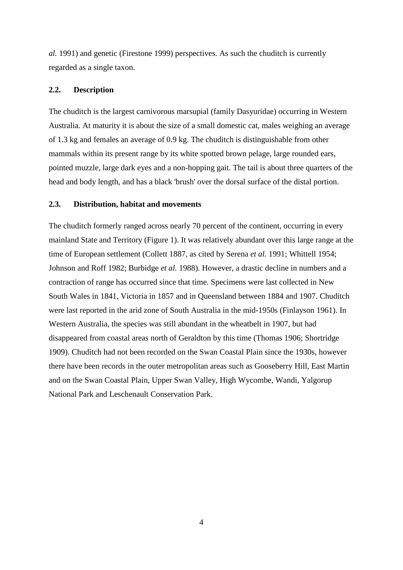*al.* 1991) and genetic (Firestone 1999) perspectives. As such the chuditch is currently regarded as a single taxon.

#### <span id="page-7-0"></span>**2.2. Description**

The chuditch is the largest carnivorous marsupial (family Dasyuridae) occurring in Western Australia. At maturity it is about the size of a small domestic cat, males weighing an average of 1.3 kg and females an average of 0.9 kg. The chuditch is distinguishable from other mammals within its present range by its white spotted brown pelage, large rounded ears, pointed muzzle, large dark eyes and a non-hopping gait. The tail is about three quarters of the head and body length, and has a black 'brush' over the dorsal surface of the distal portion.

## <span id="page-7-1"></span>**2.3. Distribution, habitat and movements**

The chuditch formerly ranged across nearly 70 percent of the continent, occurring in every mainland State and Territory (Figure 1). It was relatively abundant over this large range at the time of European settlement (Collett 1887, as cited by Serena *et al.* 1991; Whittell 1954; Johnson and Roff 1982; Burbidge *et al.* 1988). However, a drastic decline in numbers and a contraction of range has occurred since that time. Specimens were last collected in New South Wales in 1841, Victoria in 1857 and in Queensland between 1884 and 1907. Chuditch were last reported in the arid zone of South Australia in the mid-1950s (Finlayson 1961). In Western Australia, the species was still abundant in the wheatbelt in 1907, but had disappeared from coastal areas north of Geraldton by this time (Thomas 1906; Shortridge 1909). Chuditch had not been recorded on the Swan Coastal Plain since the 1930s, however there have been records in the outer metropolitan areas such as Gooseberry Hill, East Martin and on the Swan Coastal Plain, Upper Swan Valley, High Wycombe, Wandi, Yalgorup National Park and Leschenault Conservation Park.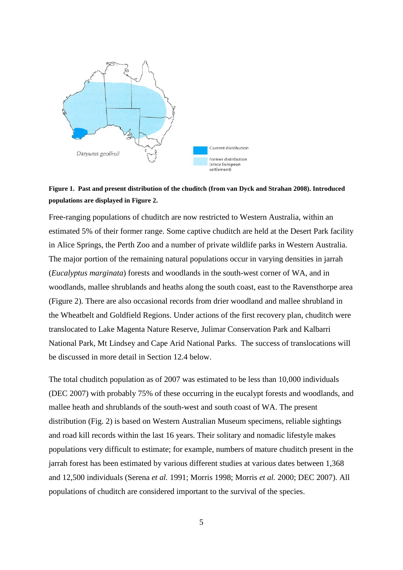

## **Figure 1. Past and present distribution of the chuditch (from van Dyck and Strahan 2008). Introduced populations are displayed in Figure 2.**

Free-ranging populations of chuditch are now restricted to Western Australia, within an estimated 5% of their former range. Some captive chuditch are held at the Desert Park facility in Alice Springs, the Perth Zoo and a number of private wildlife parks in Western Australia. The major portion of the remaining natural populations occur in varying densities in jarrah (*Eucalyptus marginata*) forests and woodlands in the south-west corner of WA, and in woodlands, mallee shrublands and heaths along the south coast, east to the Ravensthorpe area (Figure 2). There are also occasional records from drier woodland and mallee shrubland in the Wheatbelt and Goldfield Regions. Under actions of the first recovery plan, chuditch were translocated to Lake Magenta Nature Reserve, Julimar Conservation Park and Kalbarri National Park, Mt Lindsey and Cape Arid National Parks. The success of translocations will be discussed in more detail in Section 12.4 below.

The total chuditch population as of 2007 was estimated to be less than 10,000 individuals (DEC 2007) with probably 75% of these occurring in the eucalypt forests and woodlands, and mallee heath and shrublands of the south-west and south coast of WA. The present distribution (Fig. 2) is based on Western Australian Museum specimens, reliable sightings and road kill records within the last 16 years. Their solitary and nomadic lifestyle makes populations very difficult to estimate; for example, numbers of mature chuditch present in the jarrah forest has been estimated by various different studies at various dates between 1,368 and 12,500 individuals (Serena *et al.* 1991; Morris 1998; Morris *et al.* 2000; DEC 2007). All populations of chuditch are considered important to the survival of the species.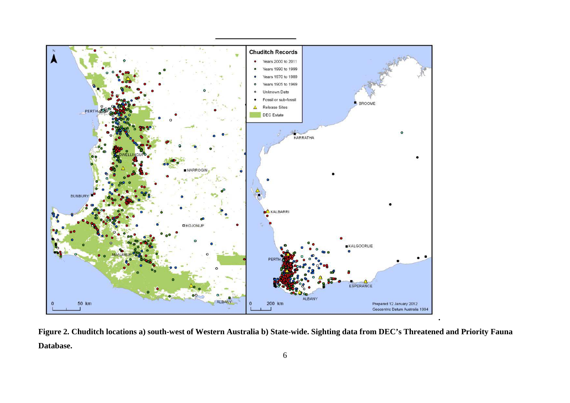

**Figure 2. Chuditch locations a) south-west of Western Australia b) State-wide. Sighting data from DEC's Threatened and Priority Fauna Database.**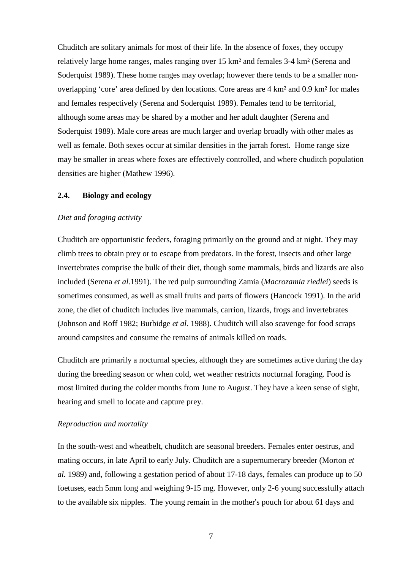Chuditch are solitary animals for most of their life. In the absence of foxes, they occupy relatively large home ranges, males ranging over 15 km² and females 3-4 km² (Serena and Soderquist 1989). These home ranges may overlap; however there tends to be a smaller nonoverlapping 'core' area defined by den locations. Core areas are 4 km² and 0.9 km² for males and females respectively (Serena and Soderquist 1989). Females tend to be territorial, although some areas may be shared by a mother and her adult daughter (Serena and Soderquist 1989). Male core areas are much larger and overlap broadly with other males as well as female. Both sexes occur at similar densities in the jarrah forest. Home range size may be smaller in areas where foxes are effectively controlled, and where chuditch population densities are higher (Mathew 1996).

#### <span id="page-10-0"></span>**2.4. Biology and ecology**

#### *Diet and foraging activity*

Chuditch are opportunistic feeders, foraging primarily on the ground and at night. They may climb trees to obtain prey or to escape from predators. In the forest, insects and other large invertebrates comprise the bulk of their diet, though some mammals, birds and lizards are also included (Serena *et al.*1991). The red pulp surrounding Zamia (*Macrozamia riedlei*) seeds is sometimes consumed, as well as small fruits and parts of flowers (Hancock 1991). In the arid zone, the diet of chuditch includes live mammals, carrion, lizards, frogs and invertebrates (Johnson and Roff 1982; Burbidge *et al.* 1988). Chuditch will also scavenge for food scraps around campsites and consume the remains of animals killed on roads.

Chuditch are primarily a nocturnal species, although they are sometimes active during the day during the breeding season or when cold, wet weather restricts nocturnal foraging. Food is most limited during the colder months from June to August. They have a keen sense of sight, hearing and smell to locate and capture prey.

#### *Reproduction and mortality*

In the south-west and wheatbelt, chuditch are seasonal breeders. Females enter oestrus, and mating occurs, in late April to early July. Chuditch are a supernumerary breeder (Morton *et al.* 1989) and, following a gestation period of about 17-18 days, females can produce up to 50 foetuses, each 5mm long and weighing 9-15 mg. However, only 2-6 young successfully attach to the available six nipples. The young remain in the mother's pouch for about 61 days and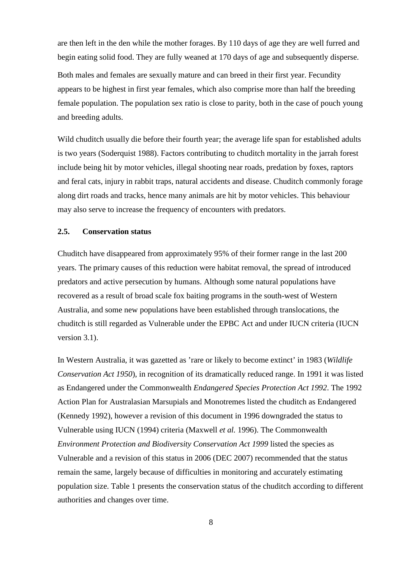are then left in the den while the mother forages. By 110 days of age they are well furred and begin eating solid food. They are fully weaned at 170 days of age and subsequently disperse.

Both males and females are sexually mature and can breed in their first year. Fecundity appears to be highest in first year females, which also comprise more than half the breeding female population. The population sex ratio is close to parity, both in the case of pouch young and breeding adults.

Wild chuditch usually die before their fourth year; the average life span for established adults is two years (Soderquist 1988). Factors contributing to chuditch mortality in the jarrah forest include being hit by motor vehicles, illegal shooting near roads, predation by foxes, raptors and feral cats, injury in rabbit traps, natural accidents and disease. Chuditch commonly forage along dirt roads and tracks, hence many animals are hit by motor vehicles. This behaviour may also serve to increase the frequency of encounters with predators.

## <span id="page-11-0"></span>**2.5. Conservation status**

Chuditch have disappeared from approximately 95% of their former range in the last 200 years. The primary causes of this reduction were habitat removal, the spread of introduced predators and active persecution by humans. Although some natural populations have recovered as a result of broad scale fox baiting programs in the south-west of Western Australia, and some new populations have been established through translocations, the chuditch is still regarded as Vulnerable under the EPBC Act and under IUCN criteria (IUCN version 3.1).

In Western Australia, it was gazetted as 'rare or likely to become extinct' in 1983 (*Wildlife Conservation Act 1950*), in recognition of its dramatically reduced range. In 1991 it was listed as Endangered under the Commonwealth *Endangered Species Protection Act 1992*. The 1992 Action Plan for Australasian Marsupials and Monotremes listed the chuditch as Endangered (Kennedy 1992), however a revision of this document in 1996 downgraded the status to Vulnerable using IUCN (1994) criteria (Maxwell *et al.* 1996). The Commonwealth *Environment Protection and Biodiversity Conservation Act 1999* listed the species as Vulnerable and a revision of this status in 2006 (DEC 2007) recommended that the status remain the same, largely because of difficulties in monitoring and accurately estimating population size. Table 1 presents the conservation status of the chuditch according to different authorities and changes over time.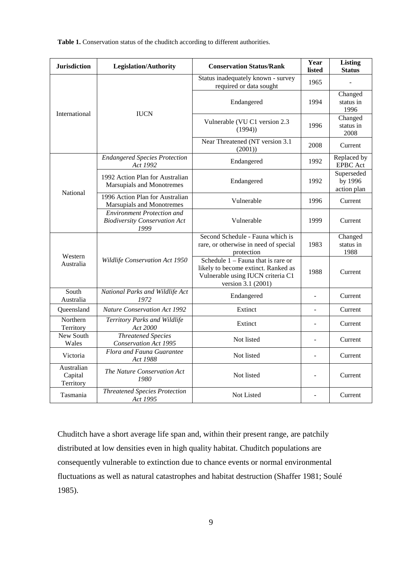**Table 1.** Conservation status of the chuditch according to different authorities.

| <b>Jurisdiction</b>                | <b>Legislation/Authority</b>                                               | <b>Conservation Status/Rank</b>                                                                                                        | Year<br>listed | <b>Listing</b><br><b>Status</b>      |  |  |
|------------------------------------|----------------------------------------------------------------------------|----------------------------------------------------------------------------------------------------------------------------------------|----------------|--------------------------------------|--|--|
|                                    |                                                                            | Status inadequately known - survey<br>required or data sought                                                                          | 1965           |                                      |  |  |
| International                      | <b>IUCN</b>                                                                | Endangered                                                                                                                             | 1994           | Changed<br>status in<br>1996         |  |  |
|                                    |                                                                            | Vulnerable (VU C1 version 2.3<br>(1994)                                                                                                | 1996           | Changed<br>status in<br>2008         |  |  |
|                                    |                                                                            | Near Threatened (NT version 3.1<br>(2001)                                                                                              | 2008           | Current                              |  |  |
|                                    | <b>Endangered Species Protection</b><br>Act 1992                           | Endangered                                                                                                                             | 1992           | Replaced by<br><b>EPBC</b> Act       |  |  |
| <b>National</b>                    | 1992 Action Plan for Australian<br>Marsupials and Monotremes               | Endangered                                                                                                                             | 1992           | Superseded<br>by 1996<br>action plan |  |  |
|                                    | 1996 Action Plan for Australian<br>Marsupials and Monotremes               | Vulnerable                                                                                                                             | 1996           | Current                              |  |  |
|                                    | Environment Protection and<br><b>Biodiversity Conservation Act</b><br>1999 | Vulnerable                                                                                                                             | 1999           | Current                              |  |  |
| Western                            |                                                                            | Second Schedule - Fauna which is<br>rare, or otherwise in need of special<br>protection                                                | 1983           | Changed<br>status in<br>1988         |  |  |
| Australia                          | Wildlife Conservation Act 1950                                             | Schedule $1 -$ Fauna that is rare or<br>likely to become extinct. Ranked as<br>Vulnerable using IUCN criteria C1<br>version 3.1 (2001) | 1988           | Current                              |  |  |
| South<br>Australia                 | National Parks and Wildlife Act<br>1972                                    | Endangered                                                                                                                             |                | Current                              |  |  |
| Oueensland                         | <b>Nature Conservation Act 1992</b>                                        | Extinct                                                                                                                                | $\overline{a}$ | Current                              |  |  |
| Northern<br>Territory              | Territory Parks and Wildlife<br>Act 2000                                   | Extinct                                                                                                                                |                | Current                              |  |  |
| New South<br>Wales                 | <b>Threatened Species</b><br><b>Conservation Act 1995</b>                  | Not listed                                                                                                                             |                | Current                              |  |  |
| Victoria                           | Flora and Fauna Guarantee<br>Act 1988                                      | Not listed                                                                                                                             |                | Current                              |  |  |
| Australian<br>Capital<br>Territory | The Nature Conservation Act<br>1980                                        | Not listed                                                                                                                             |                | Current                              |  |  |
| Tasmania                           | <b>Threatened Species Protection</b><br>Act 1995                           | Not Listed                                                                                                                             |                | Current                              |  |  |

Chuditch have a short average life span and, within their present range, are patchily distributed at low densities even in high quality habitat. Chuditch populations are consequently vulnerable to extinction due to chance events or normal environmental fluctuations as well as natural catastrophes and habitat destruction (Shaffer 1981; Soulé 1985).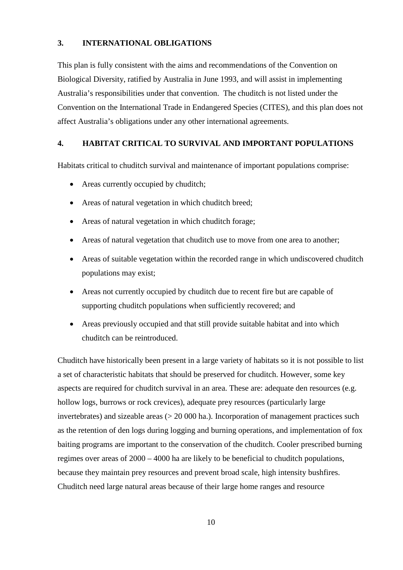## <span id="page-13-0"></span>**3. INTERNATIONAL OBLIGATIONS**

This plan is fully consistent with the aims and recommendations of the Convention on Biological Diversity, ratified by Australia in June 1993, and will assist in implementing Australia's responsibilities under that convention. The chuditch is not listed under the Convention on the International Trade in Endangered Species (CITES), and this plan does not affect Australia's obligations under any other international agreements.

#### <span id="page-13-1"></span>**4. HABITAT CRITICAL TO SURVIVAL AND IMPORTANT POPULATIONS**

Habitats critical to chuditch survival and maintenance of important populations comprise:

- Areas currently occupied by chuditch;
- Areas of natural vegetation in which chuditch breed;
- Areas of natural vegetation in which chuditch forage;
- Areas of natural vegetation that chuditch use to move from one area to another;
- Areas of suitable vegetation within the recorded range in which undiscovered chuditch populations may exist;
- Areas not currently occupied by chuditch due to recent fire but are capable of supporting chuditch populations when sufficiently recovered; and
- Areas previously occupied and that still provide suitable habitat and into which chuditch can be reintroduced.

Chuditch have historically been present in a large variety of habitats so it is not possible to list a set of characteristic habitats that should be preserved for chuditch. However, some key aspects are required for chuditch survival in an area. These are: adequate den resources (e.g. hollow logs, burrows or rock crevices), adequate prey resources (particularly large invertebrates) and sizeable areas ( $> 20,000$  ha.). Incorporation of management practices such as the retention of den logs during logging and burning operations, and implementation of fox baiting programs are important to the conservation of the chuditch. Cooler prescribed burning regimes over areas of 2000 – 4000 ha are likely to be beneficial to chuditch populations, because they maintain prey resources and prevent broad scale, high intensity bushfires. Chuditch need large natural areas because of their large home ranges and resource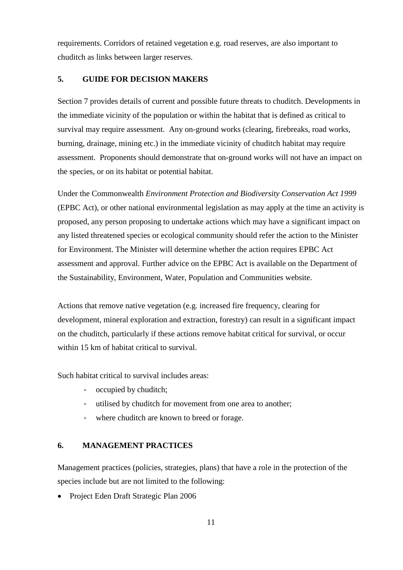requirements. Corridors of retained vegetation e.g. road reserves, are also important to chuditch as links between larger reserves.

## <span id="page-14-0"></span>**5. GUIDE FOR DECISION MAKERS**

Section 7 provides details of current and possible future threats to chuditch. Developments in the immediate vicinity of the population or within the habitat that is defined as critical to survival may require assessment. Any on-ground works (clearing, firebreaks, road works, burning, drainage, mining etc.) in the immediate vicinity of chuditch habitat may require assessment. Proponents should demonstrate that on-ground works will not have an impact on the species, or on its habitat or potential habitat.

Under the Commonwealth *Environment Protection and Biodiversity Conservation Act 1999* (EPBC Act), or other national environmental legislation as may apply at the time an activity is proposed, any person proposing to undertake actions which may have a significant impact on any listed threatened species or ecological community should refer the action to the Minister for Environment. The Minister will determine whether the action requires EPBC Act assessment and approval. Further advice on the EPBC Act is available on the Department of the Sustainability, Environment, Water, Population and Communities website.

Actions that remove native vegetation (e.g. increased fire frequency, clearing for development, mineral exploration and extraction, forestry) can result in a significant impact on the chuditch, particularly if these actions remove habitat critical for survival, or occur within 15 km of habitat critical to survival.

Such habitat critical to survival includes areas:

- *-* occupied by chuditch;
- *-* utilised by chuditch for movement from one area to another;
- where chuditch are known to breed or forage.

## <span id="page-14-1"></span>**6. MANAGEMENT PRACTICES**

Management practices (policies, strategies, plans) that have a role in the protection of the species include but are not limited to the following:

• Project Eden Draft Strategic Plan 2006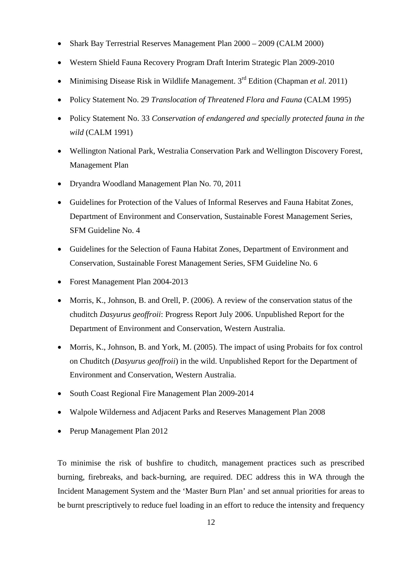- Shark Bay Terrestrial Reserves Management Plan 2000 2009 (CALM 2000)
- Western Shield Fauna Recovery Program Draft Interim Strategic Plan 2009-2010
- Minimising Disease Risk in Wildlife Management. 3<sup>rd</sup> Edition (Chapman *et al.* 2011)
- Policy Statement No. 29 *Translocation of Threatened Flora and Fauna* (CALM 1995)
- Policy Statement No. 33 *Conservation of endangered and specially protected fauna in the wild* (CALM 1991)
- Wellington National Park, Westralia Conservation Park and Wellington Discovery Forest, Management Plan
- Dryandra Woodland Management Plan No. 70, 2011
- Guidelines for Protection of the Values of Informal Reserves and Fauna Habitat Zones*,*  Department of Environment and Conservation, Sustainable Forest Management Series, SFM Guideline No. 4
- Guidelines for the Selection of Fauna Habitat Zones*,* Department of Environment and Conservation, Sustainable Forest Management Series, SFM Guideline No. 6
- Forest Management Plan 2004-2013
- Morris, K., Johnson, B. and Orell, P. (2006). A review of the conservation status of the chuditch *Dasyurus geoffroii*: Progress Report July 2006. Unpublished Report for the Department of Environment and Conservation, Western Australia.
- Morris, K., Johnson, B. and York, M. (2005). The impact of using Probaits for fox control on Chuditch (*Dasyurus geoffroii*) in the wild. Unpublished Report for the Department of Environment and Conservation, Western Australia.
- South Coast Regional Fire Management Plan 2009-2014
- Walpole Wilderness and Adjacent Parks and Reserves Management Plan 2008
- Perup Management Plan 2012

To minimise the risk of bushfire to chuditch, management practices such as prescribed burning, firebreaks, and back-burning, are required. DEC address this in WA through the Incident Management System and the 'Master Burn Plan' and set annual priorities for areas to be burnt prescriptively to reduce fuel loading in an effort to reduce the intensity and frequency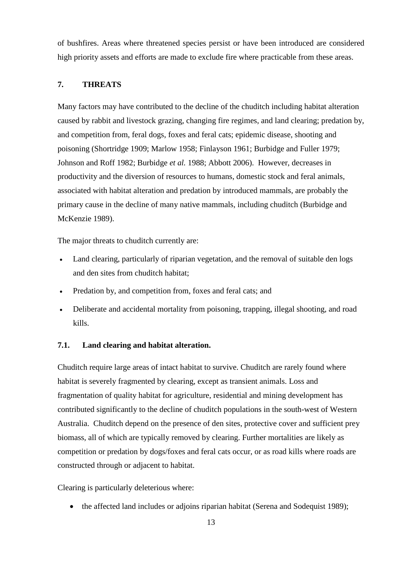of bushfires. Areas where threatened species persist or have been introduced are considered high priority assets and efforts are made to exclude fire where practicable from these areas.

## <span id="page-16-0"></span>**7. THREATS**

Many factors may have contributed to the decline of the chuditch including habitat alteration caused by rabbit and livestock grazing, changing fire regimes, and land clearing; predation by, and competition from, feral dogs, foxes and feral cats; epidemic disease, shooting and poisoning (Shortridge 1909; Marlow 1958; Finlayson 1961; Burbidge and Fuller 1979; Johnson and Roff 1982; Burbidge *et al.* 1988; Abbott 2006). However, decreases in productivity and the diversion of resources to humans, domestic stock and feral animals, associated with habitat alteration and predation by introduced mammals, are probably the primary cause in the decline of many native mammals, including chuditch (Burbidge and McKenzie 1989).

The major threats to chuditch currently are:

- Land clearing, particularly of riparian vegetation, and the removal of suitable den logs and den sites from chuditch habitat;
- Predation by, and competition from, foxes and feral cats; and
- Deliberate and accidental mortality from poisoning, trapping, illegal shooting, and road kills.

## <span id="page-16-1"></span>**7.1. Land clearing and habitat alteration.**

Chuditch require large areas of intact habitat to survive. Chuditch are rarely found where habitat is severely fragmented by clearing, except as transient animals. Loss and fragmentation of quality habitat for agriculture, residential and mining development has contributed significantly to the decline of chuditch populations in the south-west of Western Australia. Chuditch depend on the presence of den sites, protective cover and sufficient prey biomass, all of which are typically removed by clearing. Further mortalities are likely as competition or predation by dogs/foxes and feral cats occur, or as road kills where roads are constructed through or adjacent to habitat.

Clearing is particularly deleterious where:

• the affected land includes or adjoins riparian habitat (Serena and Sodequist 1989);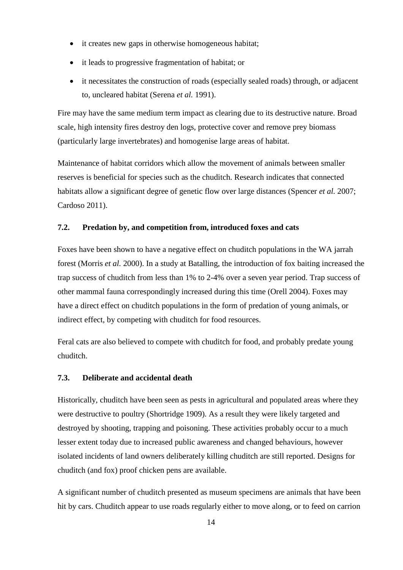- it creates new gaps in otherwise homogeneous habitat;
- it leads to progressive fragmentation of habitat; or
- it necessitates the construction of roads (especially sealed roads) through, or adjacent to, uncleared habitat (Serena *et al.* 1991).

Fire may have the same medium term impact as clearing due to its destructive nature. Broad scale, high intensity fires destroy den logs, protective cover and remove prey biomass (particularly large invertebrates) and homogenise large areas of habitat.

Maintenance of habitat corridors which allow the movement of animals between smaller reserves is beneficial for species such as the chuditch. Research indicates that connected habitats allow a significant degree of genetic flow over large distances (Spencer *et al.* 2007; Cardoso 2011).

## <span id="page-17-0"></span>**7.2. Predation by, and competition from, introduced foxes and cats**

Foxes have been shown to have a negative effect on chuditch populations in the WA jarrah forest (Morris *et al.* 2000). In a study at Batalling, the introduction of fox baiting increased the trap success of chuditch from less than 1% to 2-4% over a seven year period. Trap success of other mammal fauna correspondingly increased during this time (Orell 2004). Foxes may have a direct effect on chuditch populations in the form of predation of young animals, or indirect effect, by competing with chuditch for food resources.

Feral cats are also believed to compete with chuditch for food, and probably predate young chuditch.

## <span id="page-17-1"></span>**7.3. Deliberate and accidental death**

Historically, chuditch have been seen as pests in agricultural and populated areas where they were destructive to poultry (Shortridge 1909). As a result they were likely targeted and destroyed by shooting, trapping and poisoning. These activities probably occur to a much lesser extent today due to increased public awareness and changed behaviours, however isolated incidents of land owners deliberately killing chuditch are still reported. Designs for chuditch (and fox) proof chicken pens are available.

A significant number of chuditch presented as museum specimens are animals that have been hit by cars. Chuditch appear to use roads regularly either to move along, or to feed on carrion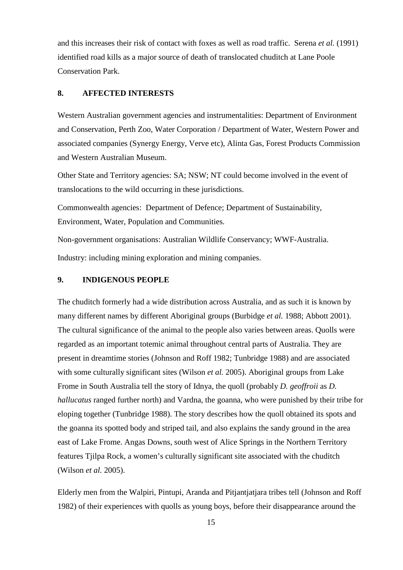and this increases their risk of contact with foxes as well as road traffic. Serena *et al.* (1991) identified road kills as a major source of death of translocated chuditch at Lane Poole Conservation Park.

## <span id="page-18-0"></span>**8. AFFECTED INTERESTS**

Western Australian government agencies and instrumentalities: Department of Environment and Conservation, Perth Zoo, Water Corporation / Department of Water, Western Power and associated companies (Synergy Energy, Verve etc), Alinta Gas, Forest Products Commission and Western Australian Museum.

Other State and Territory agencies: SA; NSW; NT could become involved in the event of translocations to the wild occurring in these jurisdictions.

Commonwealth agencies: Department of Defence; Department of Sustainability, Environment, Water, Population and Communities.

Non-government organisations: Australian Wildlife Conservancy; WWF-Australia. Industry: including mining exploration and mining companies.

## <span id="page-18-1"></span>**9. INDIGENOUS PEOPLE**

The chuditch formerly had a wide distribution across Australia, and as such it is known by many different names by different Aboriginal groups (Burbidge *et al.* 1988; Abbott 2001). The cultural significance of the animal to the people also varies between areas. Quolls were regarded as an important totemic animal throughout central parts of Australia. They are present in dreamtime stories (Johnson and Roff 1982; Tunbridge 1988) and are associated with some culturally significant sites (Wilson *et al.* 2005). Aboriginal groups from Lake Frome in South Australia tell the story of Idnya, the quoll (probably *D. geoffroii* as *D. hallucatus* ranged further north) and Vardna, the goanna, who were punished by their tribe for eloping together (Tunbridge 1988). The story describes how the quoll obtained its spots and the goanna its spotted body and striped tail, and also explains the sandy ground in the area east of Lake Frome. Angas Downs, south west of Alice Springs in the Northern Territory features Tjilpa Rock, a women's culturally significant site associated with the chuditch (Wilson *et al.* 2005).

Elderly men from the Walpiri, Pintupi, Aranda and Pitjantjatjara tribes tell (Johnson and Roff 1982) of their experiences with quolls as young boys, before their disappearance around the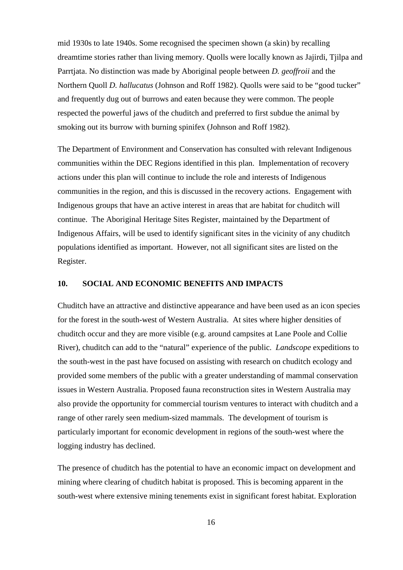mid 1930s to late 1940s. Some recognised the specimen shown (a skin) by recalling dreamtime stories rather than living memory. Quolls were locally known as Jajirdi, Tjilpa and Parrtjata. No distinction was made by Aboriginal people between *D. geoffroii* and the Northern Quoll *D. hallucatus* (Johnson and Roff 1982). Quolls were said to be "good tucker" and frequently dug out of burrows and eaten because they were common. The people respected the powerful jaws of the chuditch and preferred to first subdue the animal by smoking out its burrow with burning spinifex (Johnson and Roff 1982).

The Department of Environment and Conservation has consulted with relevant Indigenous communities within the DEC Regions identified in this plan. Implementation of recovery actions under this plan will continue to include the role and interests of Indigenous communities in the region, and this is discussed in the recovery actions. Engagement with Indigenous groups that have an active interest in areas that are habitat for chuditch will continue. The Aboriginal Heritage Sites Register, maintained by the Department of Indigenous Affairs, will be used to identify significant sites in the vicinity of any chuditch populations identified as important. However, not all significant sites are listed on the Register.

#### <span id="page-19-0"></span>**10. SOCIAL AND ECONOMIC BENEFITS AND IMPACTS**

Chuditch have an attractive and distinctive appearance and have been used as an icon species for the forest in the south-west of Western Australia. At sites where higher densities of chuditch occur and they are more visible (e.g. around campsites at Lane Poole and Collie River), chuditch can add to the "natural" experience of the public. *Landscope* expeditions to the south-west in the past have focused on assisting with research on chuditch ecology and provided some members of the public with a greater understanding of mammal conservation issues in Western Australia. Proposed fauna reconstruction sites in Western Australia may also provide the opportunity for commercial tourism ventures to interact with chuditch and a range of other rarely seen medium-sized mammals. The development of tourism is particularly important for economic development in regions of the south-west where the logging industry has declined.

The presence of chuditch has the potential to have an economic impact on development and mining where clearing of chuditch habitat is proposed. This is becoming apparent in the south-west where extensive mining tenements exist in significant forest habitat. Exploration

16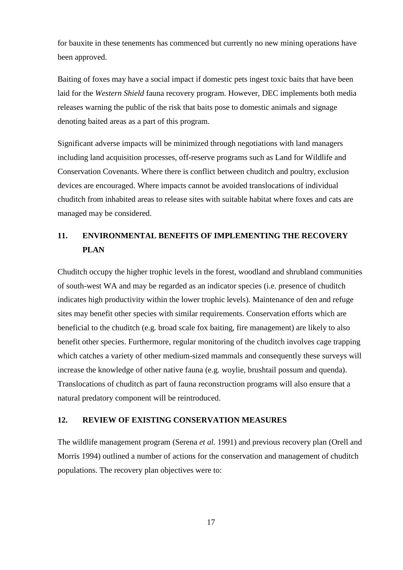for bauxite in these tenements has commenced but currently no new mining operations have been approved.

Baiting of foxes may have a social impact if domestic pets ingest toxic baits that have been laid for the *Western Shield* fauna recovery program. However, DEC implements both media releases warning the public of the risk that baits pose to domestic animals and signage denoting baited areas as a part of this program.

Significant adverse impacts will be minimized through negotiations with land managers including land acquisition processes, off-reserve programs such as Land for Wildlife and Conservation Covenants. Where there is conflict between chuditch and poultry, exclusion devices are encouraged. Where impacts cannot be avoided translocations of individual chuditch from inhabited areas to release sites with suitable habitat where foxes and cats are managed may be considered.

## <span id="page-20-0"></span>**11. ENVIRONMENTAL BENEFITS OF IMPLEMENTING THE RECOVERY PLAN**

Chuditch occupy the higher trophic levels in the forest, woodland and shrubland communities of south-west WA and may be regarded as an indicator species (i.e. presence of chuditch indicates high productivity within the lower trophic levels). Maintenance of den and refuge sites may benefit other species with similar requirements. Conservation efforts which are beneficial to the chuditch (e.g*.* broad scale fox baiting, fire management) are likely to also benefit other species. Furthermore, regular monitoring of the chuditch involves cage trapping which catches a variety of other medium-sized mammals and consequently these surveys will increase the knowledge of other native fauna (e.g*.* woylie, brushtail possum and quenda). Translocations of chuditch as part of fauna reconstruction programs will also ensure that a natural predatory component will be reintroduced.

## <span id="page-20-1"></span>**12. REVIEW OF EXISTING CONSERVATION MEASURES**

The wildlife management program (Serena *et al.* 1991) and previous recovery plan (Orell and Morris 1994) outlined a number of actions for the conservation and management of chuditch populations. The recovery plan objectives were to: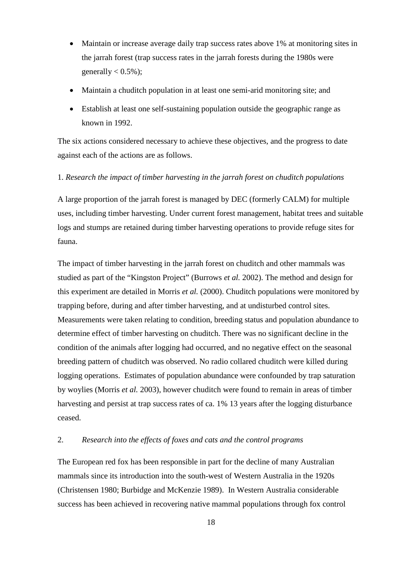- Maintain or increase average daily trap success rates above 1% at monitoring sites in the jarrah forest (trap success rates in the jarrah forests during the 1980s were generally  $< 0.5\%$ );
- Maintain a chuditch population in at least one semi-arid monitoring site; and
- Establish at least one self-sustaining population outside the geographic range as known in 1992.

The six actions considered necessary to achieve these objectives, and the progress to date against each of the actions are as follows.

### 1. *Research the impact of timber harvesting in the jarrah forest on chuditch populations*

A large proportion of the jarrah forest is managed by DEC (formerly CALM) for multiple uses, including timber harvesting. Under current forest management, habitat trees and suitable logs and stumps are retained during timber harvesting operations to provide refuge sites for fauna.

The impact of timber harvesting in the jarrah forest on chuditch and other mammals was studied as part of the "Kingston Project" (Burrows *et al.* 2002). The method and design for this experiment are detailed in Morris *et al.* (2000). Chuditch populations were monitored by trapping before, during and after timber harvesting, and at undisturbed control sites. Measurements were taken relating to condition, breeding status and population abundance to determine effect of timber harvesting on chuditch. There was no significant decline in the condition of the animals after logging had occurred, and no negative effect on the seasonal breeding pattern of chuditch was observed. No radio collared chuditch were killed during logging operations. Estimates of population abundance were confounded by trap saturation by woylies (Morris *et al.* 2003), however chuditch were found to remain in areas of timber harvesting and persist at trap success rates of ca. 1% 13 years after the logging disturbance ceased.

#### 2. *Research into the effects of foxes and cats and the control programs*

The European red fox has been responsible in part for the decline of many Australian mammals since its introduction into the south-west of Western Australia in the 1920s (Christensen 1980; Burbidge and McKenzie 1989). In Western Australia considerable success has been achieved in recovering native mammal populations through fox control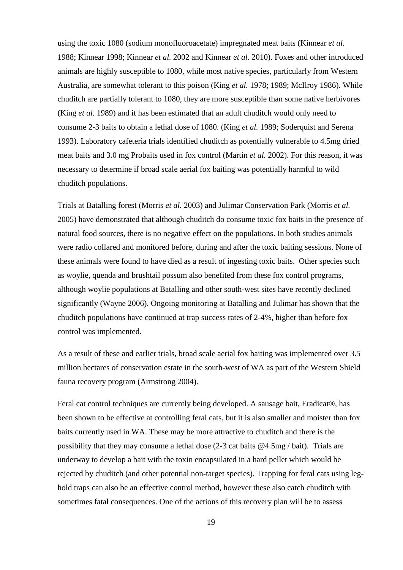using the toxic 1080 (sodium monofluoroacetate) impregnated meat baits (Kinnear *et al.* 1988; Kinnear 1998; Kinnear *et al.* 2002 and Kinnear *et al.* 2010). Foxes and other introduced animals are highly susceptible to 1080, while most native species, particularly from Western Australia, are somewhat tolerant to this poison (King *et al.* 1978; 1989; McIlroy 1986). While chuditch are partially tolerant to 1080, they are more susceptible than some native herbivores (King *et al.* 1989) and it has been estimated that an adult chuditch would only need to consume 2-3 baits to obtain a lethal dose of 1080. (King *et al.* 1989; Soderquist and Serena 1993). Laboratory cafeteria trials identified chuditch as potentially vulnerable to 4.5mg dried meat baits and 3.0 mg Probaits used in fox control (Martin *et al.* 2002). For this reason, it was necessary to determine if broad scale aerial fox baiting was potentially harmful to wild chuditch populations.

Trials at Batalling forest (Morris *et al.* 2003) and Julimar Conservation Park (Morris *et al.* 2005) have demonstrated that although chuditch do consume toxic fox baits in the presence of natural food sources, there is no negative effect on the populations. In both studies animals were radio collared and monitored before, during and after the toxic baiting sessions. None of these animals were found to have died as a result of ingesting toxic baits. Other species such as woylie, quenda and brushtail possum also benefited from these fox control programs, although woylie populations at Batalling and other south-west sites have recently declined significantly (Wayne 2006). Ongoing monitoring at Batalling and Julimar has shown that the chuditch populations have continued at trap success rates of 2-4%, higher than before fox control was implemented.

As a result of these and earlier trials, broad scale aerial fox baiting was implemented over 3.5 million hectares of conservation estate in the south-west of WA as part of the Western Shield fauna recovery program (Armstrong 2004).

Feral cat control techniques are currently being developed. A sausage bait, Eradicat®, has been shown to be effective at controlling feral cats, but it is also smaller and moister than fox baits currently used in WA. These may be more attractive to chuditch and there is the possibility that they may consume a lethal dose (2-3 cat baits @4.5mg / bait). Trials are underway to develop a bait with the toxin encapsulated in a hard pellet which would be rejected by chuditch (and other potential non-target species). Trapping for feral cats using leghold traps can also be an effective control method, however these also catch chuditch with sometimes fatal consequences. One of the actions of this recovery plan will be to assess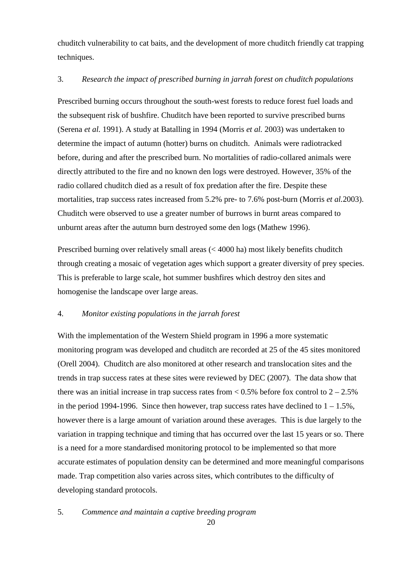chuditch vulnerability to cat baits, and the development of more chuditch friendly cat trapping techniques.

## 3. *Research the impact of prescribed burning in jarrah forest on chuditch populations*

Prescribed burning occurs throughout the south-west forests to reduce forest fuel loads and the subsequent risk of bushfire. Chuditch have been reported to survive prescribed burns (Serena *et al.* 1991). A study at Batalling in 1994 (Morris *et al.* 2003) was undertaken to determine the impact of autumn (hotter) burns on chuditch. Animals were radiotracked before, during and after the prescribed burn. No mortalities of radio-collared animals were directly attributed to the fire and no known den logs were destroyed. However, 35% of the radio collared chuditch died as a result of fox predation after the fire. Despite these mortalities, trap success rates increased from 5.2% pre- to 7.6% post-burn (Morris *et al.*2003). Chuditch were observed to use a greater number of burrows in burnt areas compared to unburnt areas after the autumn burn destroyed some den logs (Mathew 1996).

Prescribed burning over relatively small areas (< 4000 ha) most likely benefits chuditch through creating a mosaic of vegetation ages which support a greater diversity of prey species. This is preferable to large scale, hot summer bushfires which destroy den sites and homogenise the landscape over large areas.

### 4. *Monitor existing populations in the jarrah forest*

With the implementation of the Western Shield program in 1996 a more systematic monitoring program was developed and chuditch are recorded at 25 of the 45 sites monitored (Orell 2004). Chuditch are also monitored at other research and translocation sites and the trends in trap success rates at these sites were reviewed by DEC (2007). The data show that there was an initial increase in trap success rates from  $< 0.5\%$  before fox control to  $2 - 2.5\%$ in the period 1994-1996. Since then however, trap success rates have declined to  $1 - 1.5\%$ , however there is a large amount of variation around these averages. This is due largely to the variation in trapping technique and timing that has occurred over the last 15 years or so. There is a need for a more standardised monitoring protocol to be implemented so that more accurate estimates of population density can be determined and more meaningful comparisons made. Trap competition also varies across sites, which contributes to the difficulty of developing standard protocols.

5. *Commence and maintain a captive breeding program*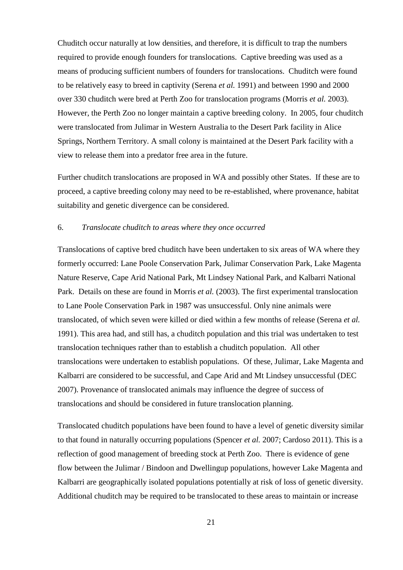Chuditch occur naturally at low densities, and therefore, it is difficult to trap the numbers required to provide enough founders for translocations. Captive breeding was used as a means of producing sufficient numbers of founders for translocations. Chuditch were found to be relatively easy to breed in captivity (Serena *et al.* 1991) and between 1990 and 2000 over 330 chuditch were bred at Perth Zoo for translocation programs (Morris *et al.* 2003). However, the Perth Zoo no longer maintain a captive breeding colony. In 2005, four chuditch were translocated from Julimar in Western Australia to the Desert Park facility in Alice Springs, Northern Territory. A small colony is maintained at the Desert Park facility with a view to release them into a predator free area in the future.

Further chuditch translocations are proposed in WA and possibly other States. If these are to proceed, a captive breeding colony may need to be re-established, where provenance, habitat suitability and genetic divergence can be considered.

#### 6. *Translocate chuditch to areas where they once occurred*

Translocations of captive bred chuditch have been undertaken to six areas of WA where they formerly occurred: Lane Poole Conservation Park, Julimar Conservation Park, Lake Magenta Nature Reserve, Cape Arid National Park, Mt Lindsey National Park, and Kalbarri National Park. Details on these are found in Morris *et al.* (2003). The first experimental translocation to Lane Poole Conservation Park in 1987 was unsuccessful. Only nine animals were translocated, of which seven were killed or died within a few months of release (Serena *et al.* 1991). This area had, and still has, a chuditch population and this trial was undertaken to test translocation techniques rather than to establish a chuditch population. All other translocations were undertaken to establish populations. Of these, Julimar, Lake Magenta and Kalbarri are considered to be successful, and Cape Arid and Mt Lindsey unsuccessful (DEC 2007). Provenance of translocated animals may influence the degree of success of translocations and should be considered in future translocation planning.

Translocated chuditch populations have been found to have a level of genetic diversity similar to that found in naturally occurring populations (Spencer *et al.* 2007; Cardoso 2011). This is a reflection of good management of breeding stock at Perth Zoo. There is evidence of gene flow between the Julimar / Bindoon and Dwellingup populations, however Lake Magenta and Kalbarri are geographically isolated populations potentially at risk of loss of genetic diversity. Additional chuditch may be required to be translocated to these areas to maintain or increase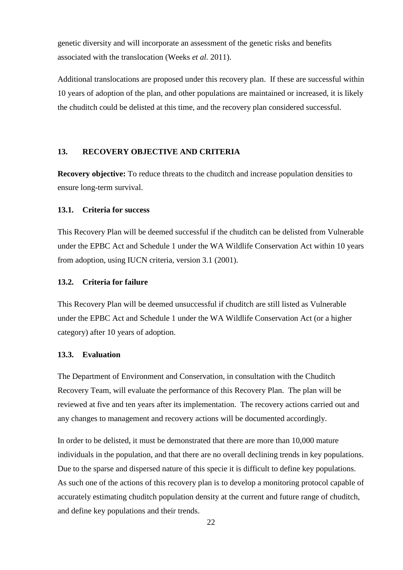genetic diversity and will incorporate an assessment of the genetic risks and benefits associated with the translocation (Weeks *et al.* 2011).

Additional translocations are proposed under this recovery plan. If these are successful within 10 years of adoption of the plan, and other populations are maintained or increased, it is likely the chuditch could be delisted at this time, and the recovery plan considered successful.

## <span id="page-25-0"></span>**13. RECOVERY OBJECTIVE AND CRITERIA**

**Recovery objective:** To reduce threats to the chuditch and increase population densities to ensure long-term survival.

### <span id="page-25-1"></span>**13.1. Criteria for success**

This Recovery Plan will be deemed successful if the chuditch can be delisted from Vulnerable under the EPBC Act and Schedule 1 under the WA Wildlife Conservation Act within 10 years from adoption, using IUCN criteria, version 3.1 (2001).

## <span id="page-25-2"></span>**13.2. Criteria for failure**

This Recovery Plan will be deemed unsuccessful if chuditch are still listed as Vulnerable under the EPBC Act and Schedule 1 under the WA Wildlife Conservation Act (or a higher category) after 10 years of adoption.

## <span id="page-25-3"></span>**13.3. Evaluation**

The Department of Environment and Conservation, in consultation with the Chuditch Recovery Team, will evaluate the performance of this Recovery Plan. The plan will be reviewed at five and ten years after its implementation. The recovery actions carried out and any changes to management and recovery actions will be documented accordingly.

In order to be delisted, it must be demonstrated that there are more than 10,000 mature individuals in the population, and that there are no overall declining trends in key populations. Due to the sparse and dispersed nature of this specie it is difficult to define key populations. As such one of the actions of this recovery plan is to develop a monitoring protocol capable of accurately estimating chuditch population density at the current and future range of chuditch, and define key populations and their trends.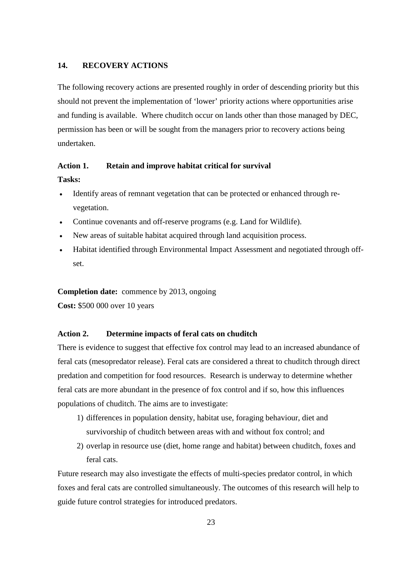## <span id="page-26-0"></span>**14. RECOVERY ACTIONS**

The following recovery actions are presented roughly in order of descending priority but this should not prevent the implementation of 'lower' priority actions where opportunities arise and funding is available. Where chuditch occur on lands other than those managed by DEC, permission has been or will be sought from the managers prior to recovery actions being undertaken.

## **Action 1. Retain and improve habitat critical for survival Tasks:**

- Identify areas of remnant vegetation that can be protected or enhanced through revegetation.
- Continue covenants and off-reserve programs (e.g. Land for Wildlife).
- New areas of suitable habitat acquired through land acquisition process.
- Habitat identified through Environmental Impact Assessment and negotiated through offset.

**Completion date:** commence by 2013, ongoing

**Cost:** \$500 000 over 10 years

### **Action 2. Determine impacts of feral cats on chuditch**

There is evidence to suggest that effective fox control may lead to an increased abundance of feral cats (mesopredator release). Feral cats are considered a threat to chuditch through direct predation and competition for food resources. Research is underway to determine whether feral cats are more abundant in the presence of fox control and if so, how this influences populations of chuditch. The aims are to investigate:

- 1) differences in population density, habitat use, foraging behaviour, diet and survivorship of chuditch between areas with and without fox control; and
- 2) overlap in resource use (diet, home range and habitat) between chuditch, foxes and feral cats.

Future research may also investigate the effects of multi-species predator control, in which foxes and feral cats are controlled simultaneously. The outcomes of this research will help to guide future control strategies for introduced predators.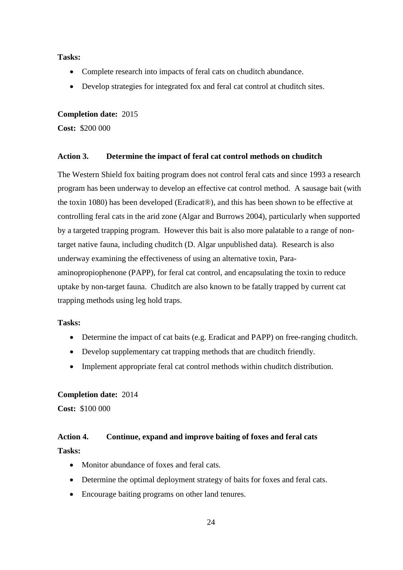**Tasks:** 

- Complete research into impacts of feral cats on chuditch abundance.
- Develop strategies for integrated fox and feral cat control at chuditch sites.

#### **Completion date:** 2015

**Cost:** \$200 000

## **Action 3. Determine the impact of feral cat control methods on chuditch**

The Western Shield fox baiting program does not control feral cats and since 1993 a research program has been underway to develop an effective cat control method. A sausage bait (with the toxin 1080) has been developed (Eradicat®), and this has been shown to be effective at controlling feral cats in the arid zone (Algar and Burrows 2004), particularly when supported by a targeted trapping program. However this bait is also more palatable to a range of nontarget native fauna, including chuditch (D. Algar unpublished data). Research is also underway examining the effectiveness of using an alternative toxin, Paraaminopropiophenone (PAPP), for feral cat control, and encapsulating the toxin to reduce uptake by non-target fauna. Chuditch are also known to be fatally trapped by current cat trapping methods using leg hold traps.

## **Tasks:**

- Determine the impact of cat baits (e.g. Eradicat and PAPP) on free-ranging chuditch.
- Develop supplementary cat trapping methods that are chuditch friendly.
- Implement appropriate feral cat control methods within chuditch distribution.

#### **Completion date:** 2014

**Cost:** \$100 000

## **Action 4. Continue, expand and improve baiting of foxes and feral cats Tasks:**

- Monitor abundance of foxes and feral cats.
- Determine the optimal deployment strategy of baits for foxes and feral cats.
- Encourage baiting programs on other land tenures.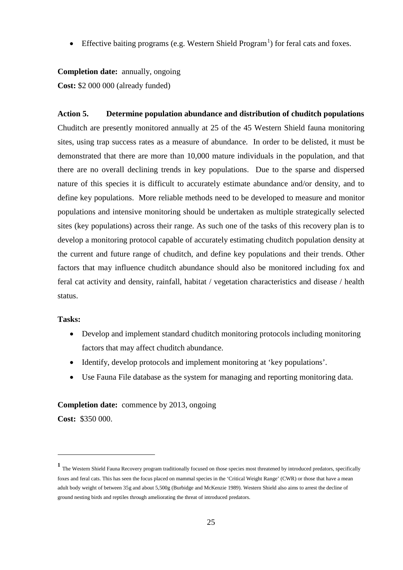• Effective baiting programs (e.g. Western Shield Program<sup>[1](#page-28-0)</sup>) for feral cats and foxes.

**Completion date:** annually, ongoing **Cost:** \$2 000 000 (already funded)

**Action 5. Determine population abundance and distribution of chuditch populations** Chuditch are presently monitored annually at 25 of the 45 Western Shield fauna monitoring sites, using trap success rates as a measure of abundance. In order to be delisted, it must be demonstrated that there are more than 10,000 mature individuals in the population, and that there are no overall declining trends in key populations. Due to the sparse and dispersed nature of this species it is difficult to accurately estimate abundance and/or density, and to define key populations. More reliable methods need to be developed to measure and monitor populations and intensive monitoring should be undertaken as multiple strategically selected sites (key populations) across their range. As such one of the tasks of this recovery plan is to develop a monitoring protocol capable of accurately estimating chuditch population density at the current and future range of chuditch, and define key populations and their trends. Other factors that may influence chuditch abundance should also be monitored including fox and feral cat activity and density, rainfall, habitat / vegetation characteristics and disease / health status.

## **Tasks:**

- Develop and implement standard chuditch monitoring protocols including monitoring factors that may affect chuditch abundance.
- Identify, develop protocols and implement monitoring at 'key populations'.
- Use Fauna File database as the system for managing and reporting monitoring data.

#### **Completion date:** commence by 2013, ongoing

**Cost:** \$350 000.

-

<span id="page-28-0"></span><sup>&</sup>lt;sup>1</sup> The Western Shield Fauna Recovery program traditionally focused on those species most threatened by introduced predators, specifically foxes and feral cats. This has seen the focus placed on mammal species in the 'Critical Weight Range' (CWR) or those that have a mean adult body weight of between 35g and about 5,500g (Burbidge and McKenzie 1989). Western Shield also aims to arrest the decline of ground nesting birds and reptiles through ameliorating the threat of introduced predators.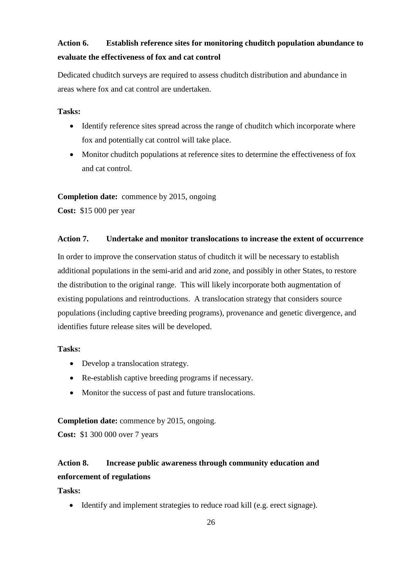## **Action 6. Establish reference sites for monitoring chuditch population abundance to evaluate the effectiveness of fox and cat control**

Dedicated chuditch surveys are required to assess chuditch distribution and abundance in areas where fox and cat control are undertaken.

## **Tasks:**

- Identify reference sites spread across the range of chuditch which incorporate where fox and potentially cat control will take place.
- Monitor chuditch populations at reference sites to determine the effectiveness of fox and cat control.

## **Completion date:** commence by 2015, ongoing

**Cost:** \$15 000 per year

## **Action 7. Undertake and monitor translocations to increase the extent of occurrence**

In order to improve the conservation status of chuditch it will be necessary to establish additional populations in the semi-arid and arid zone, and possibly in other States, to restore the distribution to the original range. This will likely incorporate both augmentation of existing populations and reintroductions. A translocation strategy that considers source populations (including captive breeding programs), provenance and genetic divergence, and identifies future release sites will be developed.

## **Tasks:**

- Develop a translocation strategy.
- Re-establish captive breeding programs if necessary.
- Monitor the success of past and future translocations.

**Completion date:** commence by 2015, ongoing.

**Cost:** \$1 300 000 over 7 years

## **Action 8. Increase public awareness through community education and enforcement of regulations**

**Tasks:**

• Identify and implement strategies to reduce road kill (e.g. erect signage).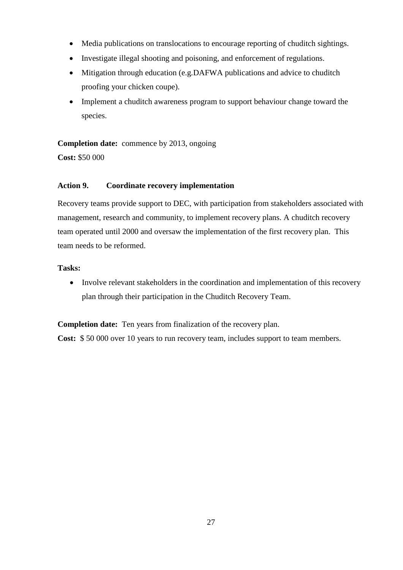- Media publications on translocations to encourage reporting of chuditch sightings.
- Investigate illegal shooting and poisoning, and enforcement of regulations.
- Mitigation through education (e.g.DAFWA publications and advice to chuditch proofing your chicken coupe).
- Implement a chuditch awareness program to support behaviour change toward the species.

**Completion date:** commence by 2013, ongoing

**Cost:** \$50 000

## **Action 9. Coordinate recovery implementation**

Recovery teams provide support to DEC, with participation from stakeholders associated with management, research and community, to implement recovery plans. A chuditch recovery team operated until 2000 and oversaw the implementation of the first recovery plan. This team needs to be reformed.

## **Tasks:**

• Involve relevant stakeholders in the coordination and implementation of this recovery plan through their participation in the Chuditch Recovery Team.

**Completion date:** Ten years from finalization of the recovery plan.

**Cost:** \$ 50 000 over 10 years to run recovery team, includes support to team members.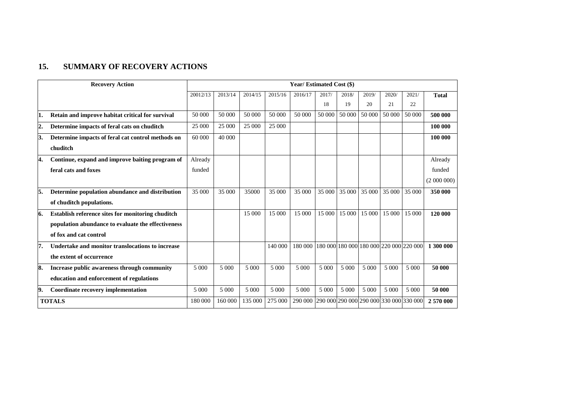## **15. SUMMARY OF RECOVERY ACTIONS**

<span id="page-31-0"></span>

| <b>Recovery Action</b> |                                                    | Year/ Estimated Cost (\$) |         |         |         |                                                 |         |         |         |                                         |         |              |
|------------------------|----------------------------------------------------|---------------------------|---------|---------|---------|-------------------------------------------------|---------|---------|---------|-----------------------------------------|---------|--------------|
|                        |                                                    | 20012/13                  | 2013/14 | 2014/15 | 2015/16 | 2016/17                                         | 2017/   | 2018/   | 2019/   | 2020/                                   | 2021/   | <b>Total</b> |
|                        |                                                    |                           |         |         |         |                                                 | 18      | 19      | 20      | 21                                      | 22      |              |
| 1.                     | Retain and improve habitat critical for survival   | 50 000                    | 50 000  | 50 000  | 50 000  | 50 000                                          | 50 000  | 50 000  | 50 000  | 50 000                                  | 50 000  | 500 000      |
| 2.                     | Determine impacts of feral cats on chuditch        | 25 000                    | 25 000  | 25 000  | 25 000  |                                                 |         |         |         |                                         |         | 100 000      |
| 3.                     | Determine impacts of feral cat control methods on  | 60 000                    | 40 000  |         |         |                                                 |         |         |         |                                         |         | 100 000      |
|                        | chuditch                                           |                           |         |         |         |                                                 |         |         |         |                                         |         |              |
| 4.                     | Continue, expand and improve baiting program of    | Already                   |         |         |         |                                                 |         |         |         |                                         |         | Already      |
|                        | feral cats and foxes                               | funded                    |         |         |         |                                                 |         |         |         |                                         |         | funded       |
|                        |                                                    |                           |         |         |         |                                                 |         |         |         |                                         |         | (2000000)    |
| 5.                     | Determine population abundance and distribution    | 35 000                    | 35 000  | 35000   | 35 000  | 35 000                                          | 35 000  | 35 000  | 35 000  | 35 000                                  | 35 000  | 350 000      |
|                        | of chuditch populations.                           |                           |         |         |         |                                                 |         |         |         |                                         |         |              |
| 16.                    | Establish reference sites for monitoring chuditch  |                           |         | 15 000  | 15 000  | 15 000                                          | 15 000  | 15 000  | 15 000  | 15 000                                  | 15 000  | 120 000      |
|                        | population abundance to evaluate the effectiveness |                           |         |         |         |                                                 |         |         |         |                                         |         |              |
|                        | of fox and cat control                             |                           |         |         |         |                                                 |         |         |         |                                         |         |              |
| 7.                     | Undertake and monitor translocations to increase   |                           |         |         | 140 000 | 180 000                                         |         |         |         | 180 000 180 000 180 000 220 000 220 000 |         | 1 300 000    |
|                        | the extent of occurrence                           |                           |         |         |         |                                                 |         |         |         |                                         |         |              |
| 8.                     | Increase public awareness through community        | 5 000                     | 5 000   | 5 000   | 5 000   | 5 000                                           | 5 000   | 5 000   | 5 000   | 5 000                                   | 5 0 0 0 | 50 000       |
|                        | education and enforcement of regulations           |                           |         |         |         |                                                 |         |         |         |                                         |         |              |
| 9.                     | Coordinate recovery implementation                 | 5 0 0 0                   | 5 000   | 5 000   | 5 000   | 5 0 0 0                                         | 5 0 0 0 | 5 0 0 0 | 5 0 0 0 | 5 000                                   | 5 000   | 50 000       |
|                        | <b>TOTALS</b>                                      | 180 000                   | 160 000 | 135 000 | 275 000 | 290 000 290 000 290 000 290 000 330 000 330 000 |         |         |         |                                         |         | 2570000      |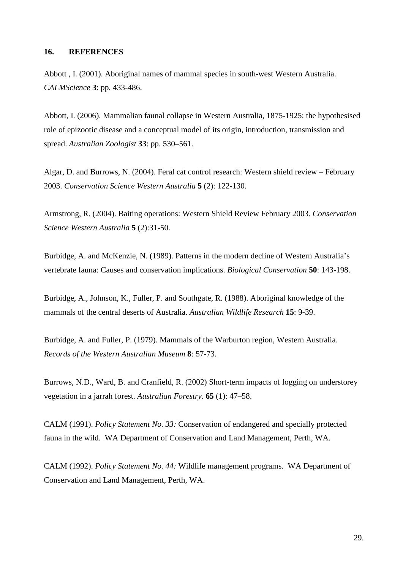## <span id="page-32-0"></span>**16. REFERENCES**

Abbott , I. (2001). Aboriginal names of mammal species in south-west Western Australia. *CALMScience* **3**: pp. 433-486.

Abbott, I. (2006). Mammalian faunal collapse in Western Australia, 1875-1925: the hypothesised role of epizootic disease and a conceptual model of its origin, introduction, transmission and spread. *Australian Zoologist* **33**: pp. 530–561.

Algar, D. and Burrows, N. (2004). Feral cat control research: Western shield review – February 2003. *Conservation Science Western Australia* **5** (2): 122-130.

Armstrong, R. (2004). Baiting operations: Western Shield Review February 2003. *Conservation Science Western Australia* **5** (2):31-50.

Burbidge, A. and McKenzie, N. (1989). Patterns in the modern decline of Western Australia's vertebrate fauna: Causes and conservation implications. *Biological Conservation* **50**: 143-198.

Burbidge, A., Johnson, K., Fuller, P. and Southgate, R. (1988). Aboriginal knowledge of the mammals of the central deserts of Australia. *Australian Wildlife Research* **15**: 9-39.

Burbidge, A. and Fuller, P. (1979). Mammals of the Warburton region, Western Australia. *Records of the Western Australian Museum* **8**: 57-73.

Burrows, N.D., Ward, B. and Cranfield, R. (2002) Short-term impacts of logging on understorey vegetation in a jarrah forest. *Australian Forestry*. **65** (1): 47–58.

CALM (1991). *Policy Statement No. 33:* Conservation of endangered and specially protected fauna in the wild. WA Department of Conservation and Land Management, Perth, WA.

CALM (1992). *Policy Statement No. 44:* Wildlife management programs. WA Department of Conservation and Land Management, Perth, WA.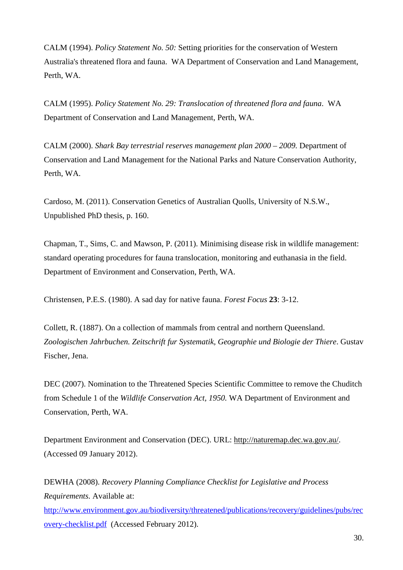CALM (1994). *Policy Statement No. 50:* Setting priorities for the conservation of Western Australia's threatened flora and fauna. WA Department of Conservation and Land Management, Perth, WA.

CALM (1995). *Policy Statement No. 29: Translocation of threatened flora and fauna*. WA Department of Conservation and Land Management, Perth, WA.

CALM (2000). *Shark Bay terrestrial reserves management plan 2000 – 2009.* Department of Conservation and Land Management for the National Parks and Nature Conservation Authority, Perth, WA.

Cardoso, M. (2011). Conservation Genetics of Australian Quolls, University of N.S.W., Unpublished PhD thesis, p. 160.

Chapman, T., Sims, C. and Mawson, P. (2011). Minimising disease risk in wildlife management: standard operating procedures for fauna translocation, monitoring and euthanasia in the field. Department of Environment and Conservation, Perth, WA.

Christensen, P.E.S. (1980). A sad day for native fauna. *Forest Focus* **23**: 3-12.

Collett, R. (1887). On a collection of mammals from central and northern Queensland. *Zoologischen Jahrbuchen. Zeitschrift fur Systematik, Geographie und Biologie der Thiere*. Gustav Fischer, Jena.

DEC (2007). Nomination to the Threatened Species Scientific Committee to remove the Chuditch from Schedule 1 of the *Wildlife Conservation Act, 1950.* WA Department of Environment and Conservation, Perth, WA.

Department Environment and Conservation (DEC). URL: [http://naturemap.dec.wa.gov.au/.](http://naturemap.dec.wa.gov.au/) (Accessed 09 January 2012).

DEWHA (2008). *Recovery Planning Compliance Checklist for Legislative and Process Requirements.* Available at: [http://www.environment.gov.au/biodiversity/threatened/publications/recovery/guidelines/pubs/rec](http://www.environment.gov.au/biodiversity/threatened/publications/recovery/guidelines/pubs/recovery-checklist.pdf) [overy-checklist.pdf](http://www.environment.gov.au/biodiversity/threatened/publications/recovery/guidelines/pubs/recovery-checklist.pdf) (Accessed February 2012).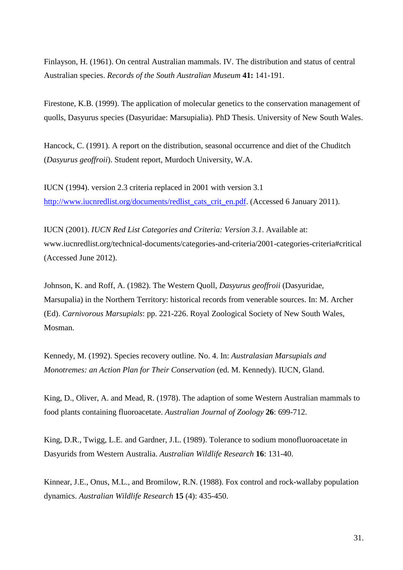Finlayson, H. (1961). On central Australian mammals. IV. The distribution and status of central Australian species. *Records of the South Australian Museum* **41:** 141-191.

Firestone, K.B. (1999). The application of molecular genetics to the conservation management of quolls, Dasyurus species (Dasyuridae: Marsupialia). PhD Thesis. University of New South Wales.

Hancock, C. (1991). A report on the distribution, seasonal occurrence and diet of the Chuditch (*Dasyurus geoffroii*). Student report, Murdoch University, W.A.

IUCN (1994). version 2.3 criteria replaced in 2001 with version 3.1 [http://www.iucnredlist.org/documents/redlist\\_cats\\_crit\\_en.pdf.](http://www.iucnredlist.org/documents/redlist_cats_crit_en.pdf) (Accessed 6 January 2011).

IUCN (2001). *IUCN Red List Categories and Criteria: Version 3.1*. Available at: www.iucnredlist.org/technical-documents/categories-and-criteria/2001-categories-criteria#critical (Accessed June 2012).

Johnson, K. and Roff, A. (1982). The Western Quoll, *Dasyurus geoffroii* (Dasyuridae, Marsupalia) in the Northern Territory: historical records from venerable sources. In: M. Archer (Ed). *Carnivorous Marsupials*: pp. 221-226. Royal Zoological Society of New South Wales, Mosman.

Kennedy, M. (1992). Species recovery outline. No. 4. In: *Australasian Marsupials and Monotremes: an Action Plan for Their Conservation* (ed. M. Kennedy). IUCN, Gland.

King, D., Oliver, A. and Mead, R. (1978). The adaption of some Western Australian mammals to food plants containing fluoroacetate. *Australian Journal of Zoology* **26**: 699-712.

King, D.R., Twigg, L.E. and Gardner, J.L. (1989). Tolerance to sodium monofluoroacetate in Dasyurids from Western Australia. *Australian Wildlife Research* **16**: 131-40.

Kinnear, J.E., Onus, M.L., and Bromilow, R.N. (1988). Fox control and rock-wallaby population dynamics. *Australian Wildlife Research* **15** (4): 435-450.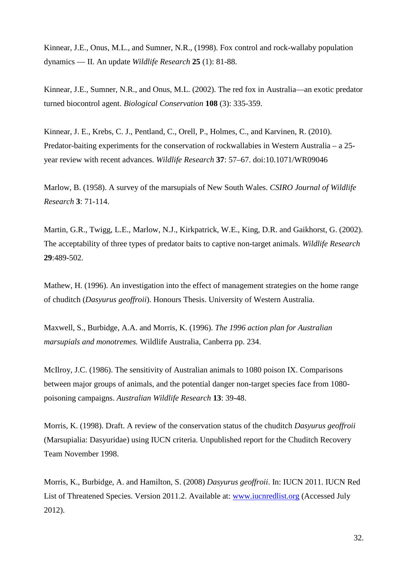Kinnear, J.E., Onus, M.L., and Sumner, N.R., (1998). Fox control and rock-wallaby population dynamics — II. An update *Wildlife Research* **25** (1): 81-88.

Kinnear, J.E., Sumner, N.R., and Onus, M.L. (2002). The red fox in Australia—an exotic predator turned biocontrol agent. *[Biological Conservation](http://www.sciencedirect.com/science/journal/00063207)* **108** (3): 335-359.

Kinnear, J. E., Krebs, C. J., Pentland, C., Orell, P., Holmes, C., and Karvinen, R. (2010). Predator-baiting experiments for the conservation of rockwallabies in Western Australia – a 25 year review with recent advances. *Wildlife Research* **37**: 57–67. doi:10.1071/WR09046

Marlow, B. (1958). A survey of the marsupials of New South Wales. *CSIRO Journal of Wildlife Research* **3**: 71-114.

Martin, G.R., Twigg, L.E., Marlow, N.J., Kirkpatrick, W.E., King, D.R. and Gaikhorst, G. (2002). The acceptability of three types of predator baits to captive non-target animals. *Wildlife Research* **29**:489-502.

Mathew, H. (1996). An investigation into the effect of management strategies on the home range of chuditch (*Dasyurus geoffroii*). Honours Thesis. University of Western Australia.

Maxwell, S., Burbidge, A.A. and Morris, K. (1996). *The 1996 action plan for Australian marsupials and monotremes.* Wildlife Australia, Canberra pp. 234.

McIlroy, J.C. (1986). The sensitivity of Australian animals to 1080 poison IX. Comparisons between major groups of animals, and the potential danger non-target species face from 1080 poisoning campaigns. *Australian Wildlife Research* **13**: 39-48.

Morris, K. (1998). Draft. A review of the conservation status of the chuditch *Dasyurus geoffroii* (Marsupialia: Dasyuridae) using IUCN criteria. Unpublished report for the Chuditch Recovery Team November 1998.

Morris, K., Burbidge, A. and Hamilton, S. (2008) *Dasyurus geoffroii*. In: IUCN 2011. IUCN Red List of Threatened Species. Version 2011.2. Available at: [www.iucnredlist.org](http://www.iucnredlist.org/) (Accessed July 2012).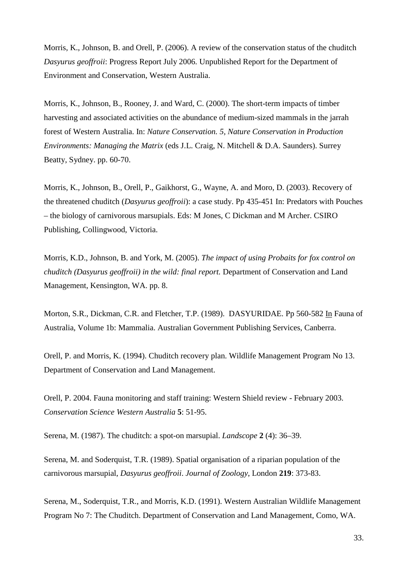Morris, K., Johnson, B. and Orell, P. (2006). A review of the conservation status of the chuditch *Dasyurus geoffroii*: Progress Report July 2006. Unpublished Report for the Department of Environment and Conservation, Western Australia.

Morris, K., Johnson, B., Rooney, J. and Ward, C. (2000). The short-term impacts of timber harvesting and associated activities on the abundance of medium-sized mammals in the jarrah forest of Western Australia. In: *Nature Conservation. 5, Nature Conservation in Production Environments: Managing the Matrix* (eds J.L. Craig, N. Mitchell & D.A. Saunders). Surrey Beatty, Sydney. pp. 60-70.

Morris, K., Johnson, B., Orell, P., Gaikhorst, G., Wayne, A. and Moro, D. (2003). Recovery of the threatened chuditch (*Dasyurus geoffroii*): a case study. Pp 435-451 In: Predators with Pouches – the biology of carnivorous marsupials. Eds: M Jones, C Dickman and M Archer. CSIRO Publishing, Collingwood, Victoria.

Morris, K.D., Johnson, B. and York, M. (2005). *The impact of using Probaits for fox control on chuditch (Dasyurus geoffroii) in the wild: final report.* Department of Conservation and Land Management, Kensington, WA. pp. 8.

Morton, S.R., Dickman, C.R. and Fletcher, T.P. (1989). DASYURIDAE. Pp 560-582 In Fauna of Australia, Volume 1b: Mammalia. Australian Government Publishing Services, Canberra.

Orell, P. and Morris, K. (1994). Chuditch recovery plan. Wildlife Management Program No 13. Department of Conservation and Land Management.

Orell, P. 2004. Fauna monitoring and staff training: Western Shield review - February 2003. *Conservation Science Western Australia* **5**: 51-95.

Serena, M. (1987). The chuditch: a spot-on marsupial. *Landscope* **2** (4): 36–39.

Serena, M. and Soderquist, T.R. (1989). Spatial organisation of a riparian population of the carnivorous marsupial, *Dasyurus geoffroii*. *Journal of Zoology*, London **219**: 373-83.

Serena, M., Soderquist, T.R., and Morris, K.D. (1991). Western Australian Wildlife Management Program No 7: The Chuditch. Department of Conservation and Land Management, Como, WA.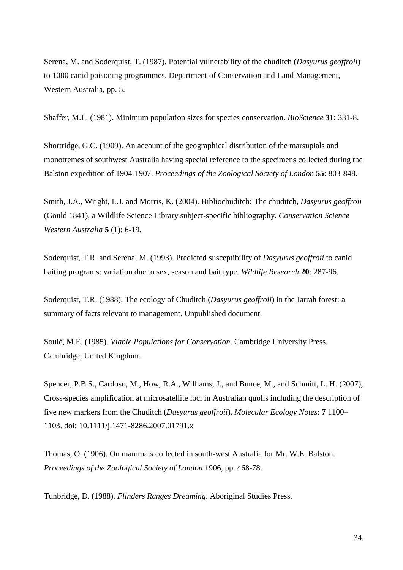Serena, M. and Soderquist, T. (1987). Potential vulnerability of the chuditch (*Dasyurus geoffroii*) to 1080 canid poisoning programmes. Department of Conservation and Land Management, Western Australia, pp. 5.

Shaffer, M.L. (1981). Minimum population sizes for species conservation. *BioScience* **31**: 331-8.

Shortridge, G.C. (1909). An account of the geographical distribution of the marsupials and monotremes of southwest Australia having special reference to the specimens collected during the Balston expedition of 1904-1907. *Proceedings of the Zoological Society of London* **55**: 803-848.

Smith, J.A., Wright, L.J. and Morris, K. (2004). Bibliochuditch: The chuditch, *Dasyurus geoffroii* (Gould 1841), a Wildlife Science Library subject-specific bibliography. *Conservation Science Western Australia* **5** (1): 6-19.

Soderquist, T.R. and Serena, M. (1993). Predicted susceptibility of *Dasyurus geoffroii* to canid baiting programs: variation due to sex, season and bait type. *Wildlife Research* **20**: 287-96.

Soderquist, T.R. (1988). The ecology of Chuditch (*Dasyurus geoffroii*) in the Jarrah forest: a summary of facts relevant to management. Unpublished document.

Soulé, M.E. (1985). *Viable Populations for Conservation*. Cambridge University Press. Cambridge, United Kingdom.

Spencer, P.B.S., Cardoso, M., How, R.A., Williams, J., and Bunce, M., and Schmitt, L. H. (2007), Cross-species amplification at microsatellite loci in Australian quolls including the description of five new markers from the Chuditch (*Dasyurus geoffroii*). *Molecular Ecology Notes*: **7** 1100– 1103. doi: 10.1111/j.1471-8286.2007.01791.x

Thomas, O. (1906). On mammals collected in south-west Australia for Mr. W.E. Balston. *Proceedings of the Zoological Society of London* 1906, pp. 468-78.

Tunbridge, D. (1988). *Flinders Ranges Dreaming*. Aboriginal Studies Press.